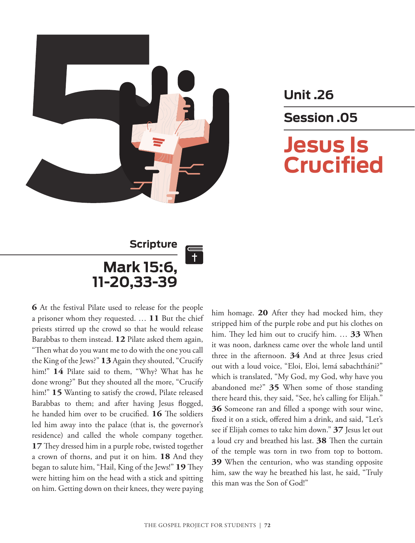

**Unit .26 Session .05 Jesus Is Crucified**

### **Scripture Mark 15:6, 11-20,33-39**

**6** At the festival Pilate used to release for the people a prisoner whom they requested. … **11** But the chief priests stirred up the crowd so that he would release Barabbas to them instead. **12** Pilate asked them again, "Then what do you want me to do with the one you call the King of the Jews?" **13** Again they shouted, "Crucify him!" **14** Pilate said to them, "Why? What has he done wrong?" But they shouted all the more, "Crucify him!" **15** Wanting to satisfy the crowd, Pilate released Barabbas to them; and after having Jesus flogged, he handed him over to be crucified. **16** The soldiers led him away into the palace (that is, the governor's residence) and called the whole company together. **17** They dressed him in a purple robe, twisted together a crown of thorns, and put it on him. **18** And they began to salute him, "Hail, King of the Jews!" **19** They were hitting him on the head with a stick and spitting on him. Getting down on their knees, they were paying

him homage. **20** After they had mocked him, they stripped him of the purple robe and put his clothes on him. They led him out to crucify him. … **33** When it was noon, darkness came over the whole land until three in the afternoon. **34** And at three Jesus cried out with a loud voice, "Eloi, Eloi, lemá sabachtháni?" which is translated, "My God, my God, why have you abandoned me?" **35** When some of those standing there heard this, they said, "See, he's calling for Elijah." **36** Someone ran and filled a sponge with sour wine, fixed it on a stick, offered him a drink, and said, "Let's see if Elijah comes to take him down." **37** Jesus let out a loud cry and breathed his last. **38** Then the curtain of the temple was torn in two from top to bottom. **39** When the centurion, who was standing opposite him, saw the way he breathed his last, he said, "Truly this man was the Son of God!"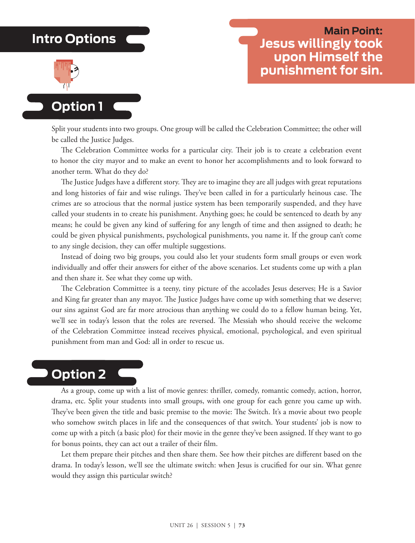### **Intro Options**



### **Main Point: Jesus willingly took upon Himself the punishment for sin.**

**Option 1**

Split your students into two groups. One group will be called the Celebration Committee; the other will be called the Justice Judges.

The Celebration Committee works for a particular city. Their job is to create a celebration event to honor the city mayor and to make an event to honor her accomplishments and to look forward to another term. What do they do?

The Justice Judges have a different story. They are to imagine they are all judges with great reputations and long histories of fair and wise rulings. They've been called in for a particularly heinous case. The crimes are so atrocious that the normal justice system has been temporarily suspended, and they have called your students in to create his punishment. Anything goes; he could be sentenced to death by any means; he could be given any kind of suffering for any length of time and then assigned to death; he could be given physical punishments, psychological punishments, you name it. If the group can't come to any single decision, they can offer multiple suggestions.

Instead of doing two big groups, you could also let your students form small groups or even work individually and offer their answers for either of the above scenarios. Let students come up with a plan and then share it. See what they come up with.

The Celebration Committee is a teeny, tiny picture of the accolades Jesus deserves; He is a Savior and King far greater than any mayor. The Justice Judges have come up with something that we deserve; our sins against God are far more atrocious than anything we could do to a fellow human being. Yet, we'll see in today's lesson that the roles are reversed. The Messiah who should receive the welcome of the Celebration Committee instead receives physical, emotional, psychological, and even spiritual punishment from man and God: all in order to rescue us.

### **Option 2**

As a group, come up with a list of movie genres: thriller, comedy, romantic comedy, action, horror, drama, etc. Split your students into small groups, with one group for each genre you came up with. They've been given the title and basic premise to the movie: The Switch. It's a movie about two people who somehow switch places in life and the consequences of that switch. Your students' job is now to come up with a pitch (a basic plot) for their movie in the genre they've been assigned. If they want to go for bonus points, they can act out a trailer of their film.

Let them prepare their pitches and then share them. See how their pitches are different based on the drama. In today's lesson, we'll see the ultimate switch: when Jesus is crucified for our sin. What genre would they assign this particular switch?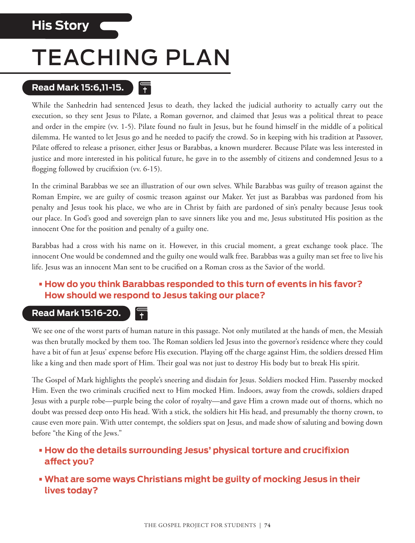### **His Story**

## TEACHING PLAN

#### **Read Mark 15:6,11-15.**   $\overline{1}$

While the Sanhedrin had sentenced Jesus to death, they lacked the judicial authority to actually carry out the execution, so they sent Jesus to Pilate, a Roman governor, and claimed that Jesus was a political threat to peace and order in the empire (vv. 1-5). Pilate found no fault in Jesus, but he found himself in the middle of a political dilemma. He wanted to let Jesus go and he needed to pacify the crowd. So in keeping with his tradition at Passover, Pilate offered to release a prisoner, either Jesus or Barabbas, a known murderer. Because Pilate was less interested in justice and more interested in his political future, he gave in to the assembly of citizens and condemned Jesus to a flogging followed by crucifixion (vv. 6-15).

In the criminal Barabbas we see an illustration of our own selves. While Barabbas was guilty of treason against the Roman Empire, we are guilty of cosmic treason against our Maker. Yet just as Barabbas was pardoned from his penalty and Jesus took his place, we who are in Christ by faith are pardoned of sin's penalty because Jesus took our place. In God's good and sovereign plan to save sinners like you and me, Jesus substituted His position as the innocent One for the position and penalty of a guilty one.

Barabbas had a cross with his name on it. However, in this crucial moment, a great exchange took place. The innocent One would be condemned and the guilty one would walk free. Barabbas was a guilty man set free to live his life. Jesus was an innocent Man sent to be crucified on a Roman cross as the Savior of the world.

### **• How do you think Barabbas responded to this turn of events in his favor? How should we respond to Jesus taking our place?**

#### **Read Mark 15:16-20.**  $\overline{\mathbf{r}}$

We see one of the worst parts of human nature in this passage. Not only mutilated at the hands of men, the Messiah was then brutally mocked by them too. The Roman soldiers led Jesus into the governor's residence where they could have a bit of fun at Jesus' expense before His execution. Playing off the charge against Him, the soldiers dressed Him like a king and then made sport of Him. Their goal was not just to destroy His body but to break His spirit.

The Gospel of Mark highlights the people's sneering and disdain for Jesus. Soldiers mocked Him. Passersby mocked Him. Even the two criminals crucified next to Him mocked Him. Indoors, away from the crowds, soldiers draped Jesus with a purple robe—purple being the color of royalty—and gave Him a crown made out of thorns, which no doubt was pressed deep onto His head. With a stick, the soldiers hit His head, and presumably the thorny crown, to cause even more pain. With utter contempt, the soldiers spat on Jesus, and made show of saluting and bowing down before "the King of the Jews."

#### **• How do the details surrounding Jesus' physical torture and crucifixion affect you?**

**• What are some ways Christians might be guilty of mocking Jesus in their lives today?**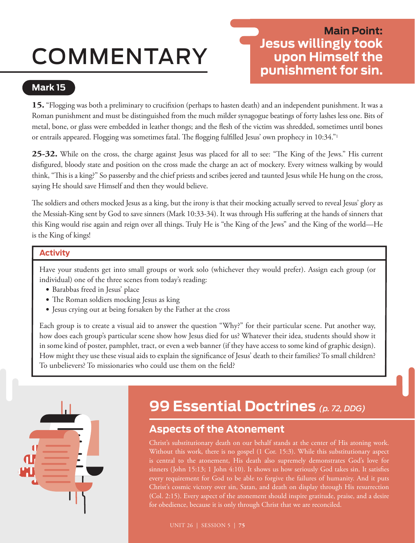# COMMENTARY

### **Main Point: Jesus willingly took upon Himself the punishment for sin.**

### **Mark 15**

**15.** "Flogging was both a preliminary to crucifixion (perhaps to hasten death) and an independent punishment. It was a Roman punishment and must be distinguished from the much milder synagogue beatings of forty lashes less one. Bits of metal, bone, or glass were embedded in leather thongs; and the flesh of the victim was shredded, sometimes until bones or entrails appeared. Flogging was sometimes fatal. The flogging fulfilled Jesus' own prophecy in 10:34."1

**25-32.** While on the cross, the charge against Jesus was placed for all to see: "The King of the Jews." His current disfigured, bloody state and position on the cross made the charge an act of mockery. Every witness walking by would think, "This is a king?" So passersby and the chief priests and scribes jeered and taunted Jesus while He hung on the cross, saying He should save Himself and then they would believe.

The soldiers and others mocked Jesus as a king, but the irony is that their mocking actually served to reveal Jesus' glory as the Messiah-King sent by God to save sinners (Mark 10:33-34). It was through His suffering at the hands of sinners that this King would rise again and reign over all things. Truly He is "the King of the Jews" and the King of the world—He is the King of kings!

#### **Activity**

Have your students get into small groups or work solo (whichever they would prefer). Assign each group (or individual) one of the three scenes from today's reading:

- Barabbas freed in Jesus' place
- The Roman soldiers mocking Jesus as king
- Jesus crying out at being forsaken by the Father at the cross

Each group is to create a visual aid to answer the question "Why?" for their particular scene. Put another way, how does each group's particular scene show how Jesus died for us? Whatever their idea, students should show it in some kind of poster, pamphlet, tract, or even a web banner (if they have access to some kind of graphic design). How might they use these visual aids to explain the significance of Jesus' death to their families? To small children? To unbelievers? To missionaries who could use them on the field?



## **99 Essential Doctrines** *(p. 72, DDG)*

### **Aspects of the Atonement**

Christ's substitutionary death on our behalf stands at the center of His atoning work. Without this work, there is no gospel (1 Cor. 15:3). While this substitutionary aspect is central to the atonement, His death also supremely demonstrates God's love for sinners (John 15:13; 1 John 4:10). It shows us how seriously God takes sin. It satisfies every requirement for God to be able to forgive the failures of humanity. And it puts Christ's cosmic victory over sin, Satan, and death on display through His resurrection (Col. 2:15). Every aspect of the atonement should inspire gratitude, praise, and a desire for obedience, because it is only through Christ that we are reconciled.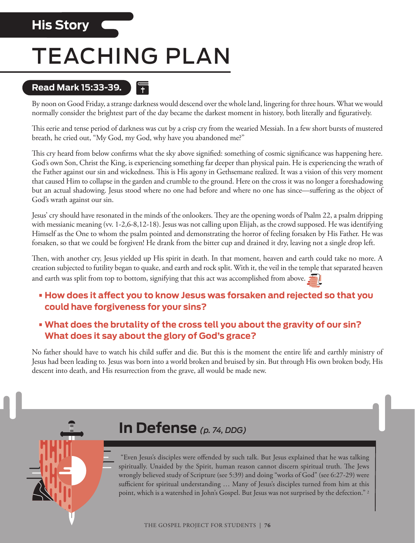### **His Story**

## TEACHING PLAN

 $\left| \cdot \right|$ 

### **Read Mark 15:33-39.**

By noon on Good Friday, a strange darkness would descend over the whole land, lingering for three hours. What we would normally consider the brightest part of the day became the darkest moment in history, both literally and figuratively.

This eerie and tense period of darkness was cut by a crisp cry from the wearied Messiah. In a few short bursts of mustered breath, he cried out, "My God, my God, why have you abandoned me?"

This cry heard from below confirms what the sky above signified: something of cosmic significance was happening here. God's own Son, Christ the King, is experiencing something far deeper than physical pain. He is experiencing the wrath of the Father against our sin and wickedness. This is His agony in Gethsemane realized. It was a vision of this very moment that caused Him to collapse in the garden and crumble to the ground. Here on the cross it was no longer a foreshadowing but an actual shadowing. Jesus stood where no one had before and where no one has since—suffering as the object of God's wrath against our sin.

Jesus' cry should have resonated in the minds of the onlookers. They are the opening words of Psalm 22, a psalm dripping with messianic meaning (vv. 1-2,6-8,12-18). Jesus was not calling upon Elijah, as the crowd supposed. He was identifying Himself as the One to whom the psalm pointed and demonstrating the horror of feeling forsaken by His Father. He was forsaken, so that we could be forgiven! He drank from the bitter cup and drained it dry, leaving not a single drop left.

Then, with another cry, Jesus yielded up His spirit in death. In that moment, heaven and earth could take no more. A creation subjected to futility began to quake, and earth and rock split. With it, the veil in the temple that separated heaven and earth was split from top to bottom, signifying that this act was accomplished from above.

- **• How does it affect you to know Jesus was forsaken and rejected so that you could have forgiveness for your sins?**
- **• What does the brutality of the cross tell you about the gravity of our sin? What does it say about the glory of God's grace?**

No father should have to watch his child suffer and die. But this is the moment the entire life and earthly ministry of Jesus had been leading to. Jesus was born into a world broken and bruised by sin. But through His own broken body, His descent into death, and His resurrection from the grave, all would be made new.



### **In Defense** *(p. 74, DDG)*

 "Even Jesus's disciples were offended by such talk. But Jesus explained that he was talking spiritually. Unaided by the Spirit, human reason cannot discern spiritual truth. The Jews wrongly believed study of Scripture (see 5:39) and doing "works of God" (see 6:27-29) were sufficient for spiritual understanding … Many of Jesus's disciples turned from him at this point, which is a watershed in John's Gospel. But Jesus was not surprised by the defection."<sup>2</sup>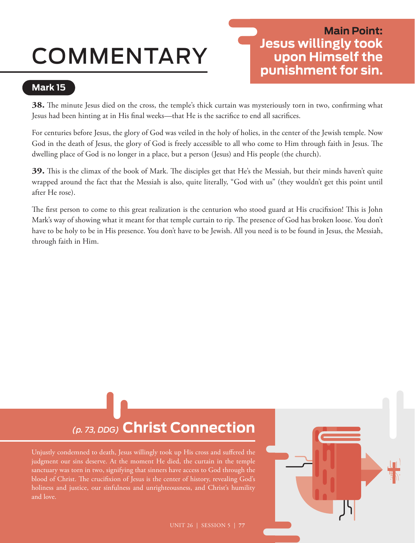# COMMENTARY

### **Main Point: Jesus willingly took upon Himself the punishment for sin.**

### **Mark 15**

**38.** The minute Jesus died on the cross, the temple's thick curtain was mysteriously torn in two, confirming what Jesus had been hinting at in His final weeks—that He is the sacrifice to end all sacrifices.

For centuries before Jesus, the glory of God was veiled in the holy of holies, in the center of the Jewish temple. Now God in the death of Jesus, the glory of God is freely accessible to all who come to Him through faith in Jesus. The dwelling place of God is no longer in a place, but a person (Jesus) and His people (the church).

**39.** This is the climax of the book of Mark. The disciples get that He's the Messiah, but their minds haven't quite wrapped around the fact that the Messiah is also, quite literally, "God with us" (they wouldn't get this point until after He rose).

The first person to come to this great realization is the centurion who stood guard at His crucifixion! This is John Mark's way of showing what it meant for that temple curtain to rip. The presence of God has broken loose. You don't have to be holy to be in His presence. You don't have to be Jewish. All you need is to be found in Jesus, the Messiah, through faith in Him.

## *(p. 73, DDG)* **Christ Connection**

Unjustly condemned to death, Jesus willingly took up His cross and suffered the judgment our sins deserve. At the moment He died, the curtain in the temple sanctuary was torn in two, signifying that sinners have access to God through the blood of Christ. The crucifixion of Jesus is the center of history, revealing God's holiness and justice, our sinfulness and unrighteousness, and Christ's humility and love.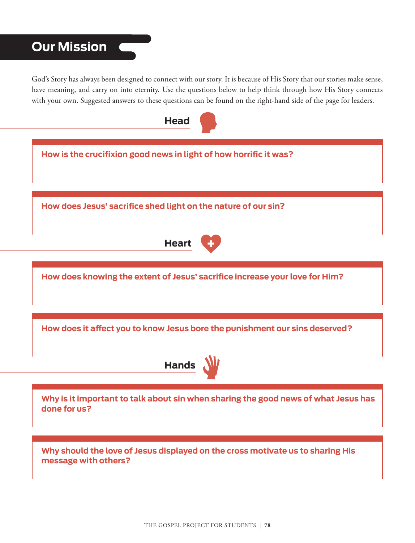### **Our Mission**

God's Story has always been designed to connect with our story. It is because of His Story that our stories make sense, have meaning, and carry on into eternity. Use the questions below to help think through how His Story connects with your own. Suggested answers to these questions can be found on the right-hand side of the page for leaders.